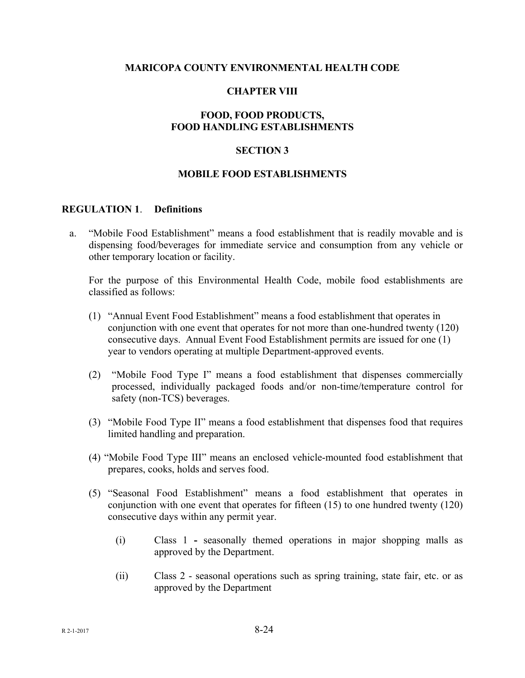#### **MARICOPA COUNTY ENVIRONMENTAL HEALTH CODE**

### **CHAPTER VIII**

## **FOOD, FOOD PRODUCTS, FOOD HANDLING ESTABLISHMENTS**

### **SECTION 3**

#### **MOBILE FOOD ESTABLISHMENTS**

#### **REGULATION 1**. **Definitions**

a. "Mobile Food Establishment" means a food establishment that is readily movable and is dispensing food/beverages for immediate service and consumption from any vehicle or other temporary location or facility.

For the purpose of this Environmental Health Code, mobile food establishments are classified as follows:

- (1) "Annual Event Food Establishment" means a food establishment that operates in conjunction with one event that operates for not more than one-hundred twenty (120) consecutive days. Annual Event Food Establishment permits are issued for one (1) year to vendors operating at multiple Department-approved events.
- (2) "Mobile Food Type I" means a food establishment that dispenses commercially processed, individually packaged foods and/or non-time/temperature control for safety (non-TCS) beverages.
- (3) "Mobile Food Type II" means a food establishment that dispenses food that requires limited handling and preparation.
- (4) "Mobile Food Type III" means an enclosed vehicle-mounted food establishment that prepares, cooks, holds and serves food.
- (5) "Seasonal Food Establishment" means a food establishment that operates in conjunction with one event that operates for fifteen (15) to one hundred twenty (120) consecutive days within any permit year.
	- (i) Class 1 **-** seasonally themed operations in major shopping malls as approved by the Department.
	- (ii) Class 2 seasonal operations such as spring training, state fair, etc. or as approved by the Department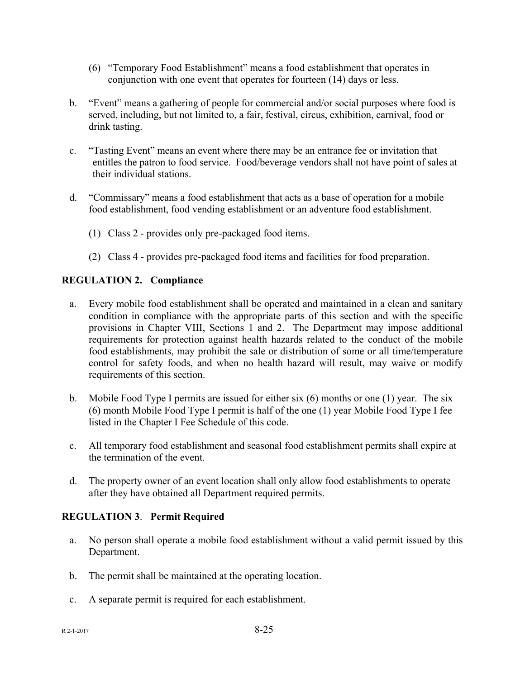- (6) "Temporary Food Establishment" means a food establishment that operates in conjunction with one event that operates for fourteen (14) days or less.
- b. "Event" means a gathering of people for commercial and/or social purposes where food is served, including, but not limited to, a fair, festival, circus, exhibition, carnival, food or drink tasting.
- c. "Tasting Event" means an event where there may be an entrance fee or invitation that entitles the patron to food service. Food/beverage vendors shall not have point of sales at their individual stations.
- d. "Commissary" means a food establishment that acts as a base of operation for a mobile food establishment, food vending establishment or an adventure food establishment.
	- (1) Class 2 provides only pre-packaged food items.
	- (2) Class 4 provides pre-packaged food items and facilities for food preparation.

# **REGULATION 2. Compliance**

- a. Every mobile food establishment shall be operated and maintained in a clean and sanitary condition in compliance with the appropriate parts of this section and with the specific provisions in Chapter VIII, Sections 1 and 2. The Department may impose additional requirements for protection against health hazards related to the conduct of the mobile food establishments, may prohibit the sale or distribution of some or all time/temperature control for safety foods, and when no health hazard will result, may waive or modify requirements of this section.
- b. Mobile Food Type I permits are issued for either six (6) months or one (1) year. The six (6) month Mobile Food Type I permit is half of the one (1) year Mobile Food Type I fee listed in the Chapter I Fee Schedule of this code.
- c. All temporary food establishment and seasonal food establishment permits shall expire at the termination of the event.
- d. The property owner of an event location shall only allow food establishments to operate after they have obtained all Department required permits.

# **REGULATION 3**. **Permit Required**

- a. No person shall operate a mobile food establishment without a valid permit issued by this Department.
- b. The permit shall be maintained at the operating location.
- c. A separate permit is required for each establishment.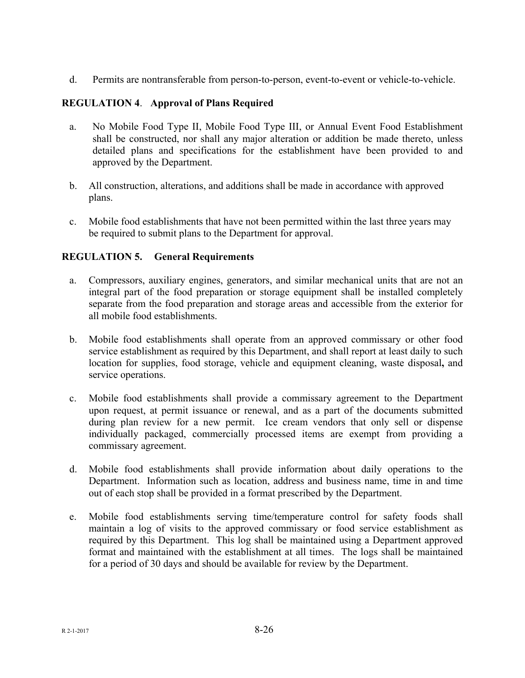d. Permits are nontransferable from person-to-person, event-to-event or vehicle-to-vehicle.

## **REGULATION 4**. **Approval of Plans Required**

- a. No Mobile Food Type II, Mobile Food Type III, or Annual Event Food Establishment shall be constructed, nor shall any major alteration or addition be made thereto, unless detailed plans and specifications for the establishment have been provided to and approved by the Department.
- b. All construction, alterations, and additions shall be made in accordance with approved plans.
- c. Mobile food establishments that have not been permitted within the last three years may be required to submit plans to the Department for approval.

## **REGULATION 5. General Requirements**

- a. Compressors, auxiliary engines, generators, and similar mechanical units that are not an integral part of the food preparation or storage equipment shall be installed completely separate from the food preparation and storage areas and accessible from the exterior for all mobile food establishments.
- b. Mobile food establishments shall operate from an approved commissary or other food service establishment as required by this Department, and shall report at least daily to such location for supplies, food storage, vehicle and equipment cleaning, waste disposal**,** and service operations.
- c. Mobile food establishments shall provide a commissary agreement to the Department upon request, at permit issuance or renewal, and as a part of the documents submitted during plan review for a new permit. Ice cream vendors that only sell or dispense individually packaged, commercially processed items are exempt from providing a commissary agreement.
- d. Mobile food establishments shall provide information about daily operations to the Department. Information such as location, address and business name, time in and time out of each stop shall be provided in a format prescribed by the Department.
- e. Mobile food establishments serving time/temperature control for safety foods shall maintain a log of visits to the approved commissary or food service establishment as required by this Department. This log shall be maintained using a Department approved format and maintained with the establishment at all times. The logs shall be maintained for a period of 30 days and should be available for review by the Department.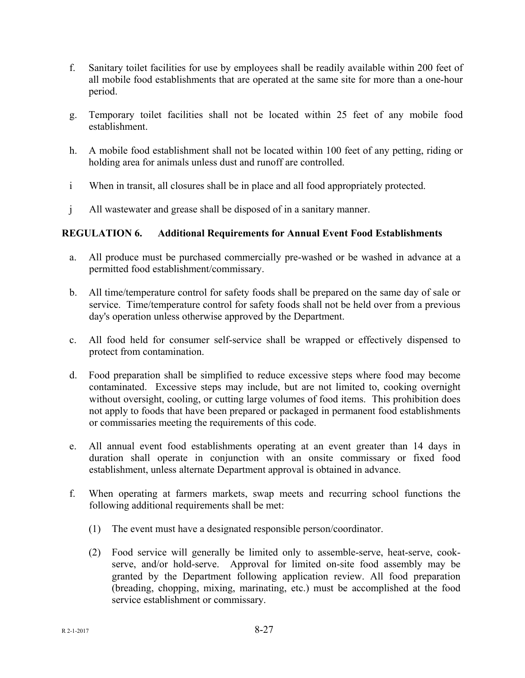- f. Sanitary toilet facilities for use by employees shall be readily available within 200 feet of all mobile food establishments that are operated at the same site for more than a one-hour period.
- g. Temporary toilet facilities shall not be located within 25 feet of any mobile food establishment.
- h. A mobile food establishment shall not be located within 100 feet of any petting, riding or holding area for animals unless dust and runoff are controlled.
- i When in transit, all closures shall be in place and all food appropriately protected.
- j All wastewater and grease shall be disposed of in a sanitary manner.

# **REGULATION 6. Additional Requirements for Annual Event Food Establishments**

- a. All produce must be purchased commercially pre-washed or be washed in advance at a permitted food establishment/commissary.
- b. All time/temperature control for safety foods shall be prepared on the same day of sale or service. Time/temperature control for safety foods shall not be held over from a previous day's operation unless otherwise approved by the Department.
- c. All food held for consumer self-service shall be wrapped or effectively dispensed to protect from contamination.
- d. Food preparation shall be simplified to reduce excessive steps where food may become contaminated. Excessive steps may include, but are not limited to, cooking overnight without oversight, cooling, or cutting large volumes of food items. This prohibition does not apply to foods that have been prepared or packaged in permanent food establishments or commissaries meeting the requirements of this code.
- e. All annual event food establishments operating at an event greater than 14 days in duration shall operate in conjunction with an onsite commissary or fixed food establishment, unless alternate Department approval is obtained in advance.
- f. When operating at farmers markets, swap meets and recurring school functions the following additional requirements shall be met:
	- (1) The event must have a designated responsible person/coordinator.
	- (2) Food service will generally be limited only to assemble-serve, heat-serve, cookserve, and/or hold-serve. Approval for limited on-site food assembly may be granted by the Department following application review. All food preparation (breading, chopping, mixing, marinating, etc.) must be accomplished at the food service establishment or commissary.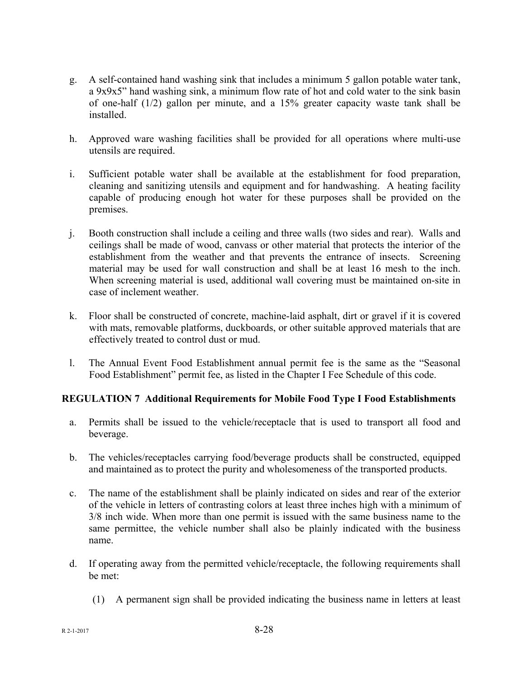- g. A self-contained hand washing sink that includes a minimum 5 gallon potable water tank, a 9x9x5" hand washing sink, a minimum flow rate of hot and cold water to the sink basin of one-half (1/2) gallon per minute, and a 15% greater capacity waste tank shall be installed.
- h. Approved ware washing facilities shall be provided for all operations where multi-use utensils are required.
- i. Sufficient potable water shall be available at the establishment for food preparation, cleaning and sanitizing utensils and equipment and for handwashing. A heating facility capable of producing enough hot water for these purposes shall be provided on the premises.
- j. Booth construction shall include a ceiling and three walls (two sides and rear). Walls and ceilings shall be made of wood, canvass or other material that protects the interior of the establishment from the weather and that prevents the entrance of insects. Screening material may be used for wall construction and shall be at least 16 mesh to the inch. When screening material is used, additional wall covering must be maintained on-site in case of inclement weather.
- k. Floor shall be constructed of concrete, machine-laid asphalt, dirt or gravel if it is covered with mats, removable platforms, duckboards, or other suitable approved materials that are effectively treated to control dust or mud.
- l. The Annual Event Food Establishment annual permit fee is the same as the "Seasonal Food Establishment" permit fee, as listed in the Chapter I Fee Schedule of this code.

# **REGULATION 7 Additional Requirements for Mobile Food Type I Food Establishments**

- a. Permits shall be issued to the vehicle/receptacle that is used to transport all food and beverage.
- b. The vehicles/receptacles carrying food/beverage products shall be constructed, equipped and maintained as to protect the purity and wholesomeness of the transported products.
- c. The name of the establishment shall be plainly indicated on sides and rear of the exterior of the vehicle in letters of contrasting colors at least three inches high with a minimum of 3/8 inch wide. When more than one permit is issued with the same business name to the same permittee, the vehicle number shall also be plainly indicated with the business name.
- d. If operating away from the permitted vehicle/receptacle, the following requirements shall be met:
	- (1) A permanent sign shall be provided indicating the business name in letters at least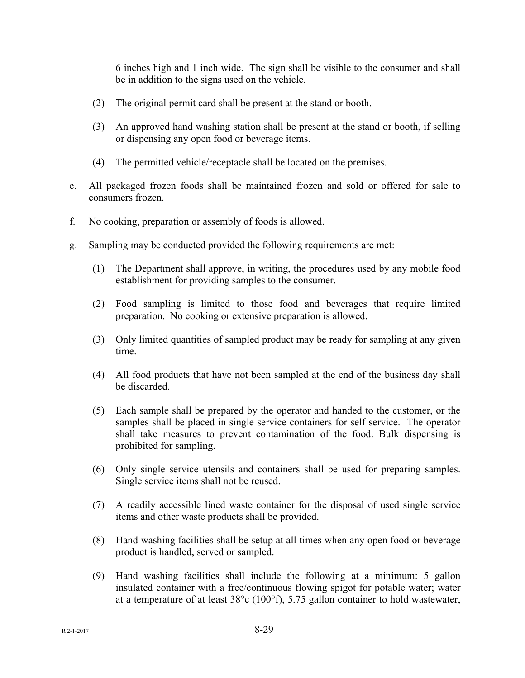6 inches high and 1 inch wide. The sign shall be visible to the consumer and shall be in addition to the signs used on the vehicle.

- (2) The original permit card shall be present at the stand or booth.
- (3) An approved hand washing station shall be present at the stand or booth, if selling or dispensing any open food or beverage items.
- (4) The permitted vehicle/receptacle shall be located on the premises.
- e. All packaged frozen foods shall be maintained frozen and sold or offered for sale to consumers frozen.
- f. No cooking, preparation or assembly of foods is allowed.
- g. Sampling may be conducted provided the following requirements are met:
	- (1) The Department shall approve, in writing, the procedures used by any mobile food establishment for providing samples to the consumer.
	- (2) Food sampling is limited to those food and beverages that require limited preparation. No cooking or extensive preparation is allowed.
	- (3) Only limited quantities of sampled product may be ready for sampling at any given time.
	- (4) All food products that have not been sampled at the end of the business day shall be discarded.
	- (5) Each sample shall be prepared by the operator and handed to the customer, or the samples shall be placed in single service containers for self service. The operator shall take measures to prevent contamination of the food. Bulk dispensing is prohibited for sampling.
	- (6) Only single service utensils and containers shall be used for preparing samples. Single service items shall not be reused.
	- (7) A readily accessible lined waste container for the disposal of used single service items and other waste products shall be provided.
	- (8) Hand washing facilities shall be setup at all times when any open food or beverage product is handled, served or sampled.
	- (9) Hand washing facilities shall include the following at a minimum: 5 gallon insulated container with a free/continuous flowing spigot for potable water; water at a temperature of at least 38°c (100°f), 5.75 gallon container to hold wastewater,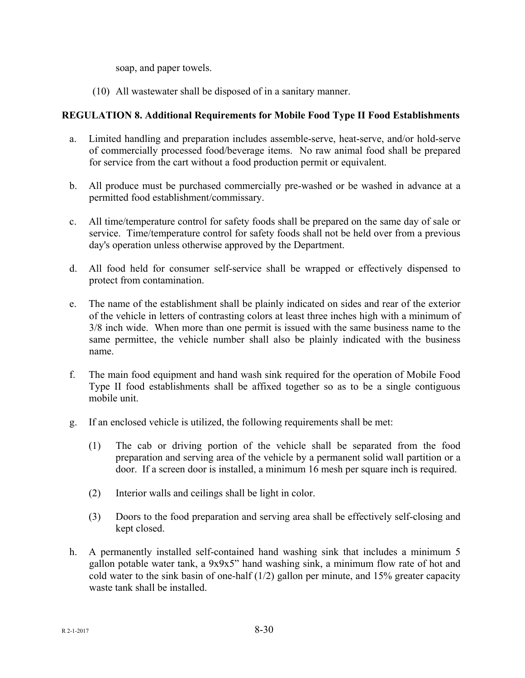soap, and paper towels.

(10) All wastewater shall be disposed of in a sanitary manner.

## **REGULATION 8. Additional Requirements for Mobile Food Type II Food Establishments**

- a. Limited handling and preparation includes assemble-serve, heat-serve, and/or hold-serve of commercially processed food/beverage items. No raw animal food shall be prepared for service from the cart without a food production permit or equivalent.
- b. All produce must be purchased commercially pre-washed or be washed in advance at a permitted food establishment/commissary.
- c. All time/temperature control for safety foods shall be prepared on the same day of sale or service. Time/temperature control for safety foods shall not be held over from a previous day's operation unless otherwise approved by the Department.
- d. All food held for consumer self-service shall be wrapped or effectively dispensed to protect from contamination.
- e. The name of the establishment shall be plainly indicated on sides and rear of the exterior of the vehicle in letters of contrasting colors at least three inches high with a minimum of 3/8 inch wide. When more than one permit is issued with the same business name to the same permittee, the vehicle number shall also be plainly indicated with the business name.
- f. The main food equipment and hand wash sink required for the operation of Mobile Food Type II food establishments shall be affixed together so as to be a single contiguous mobile unit.
- g. If an enclosed vehicle is utilized, the following requirements shall be met:
	- (1) The cab or driving portion of the vehicle shall be separated from the food preparation and serving area of the vehicle by a permanent solid wall partition or a door. If a screen door is installed, a minimum 16 mesh per square inch is required.
	- (2) Interior walls and ceilings shall be light in color.
	- (3) Doors to the food preparation and serving area shall be effectively self-closing and kept closed.
- h. A permanently installed self-contained hand washing sink that includes a minimum 5 gallon potable water tank, a 9x9x5" hand washing sink, a minimum flow rate of hot and cold water to the sink basin of one-half (1/2) gallon per minute, and 15% greater capacity waste tank shall be installed.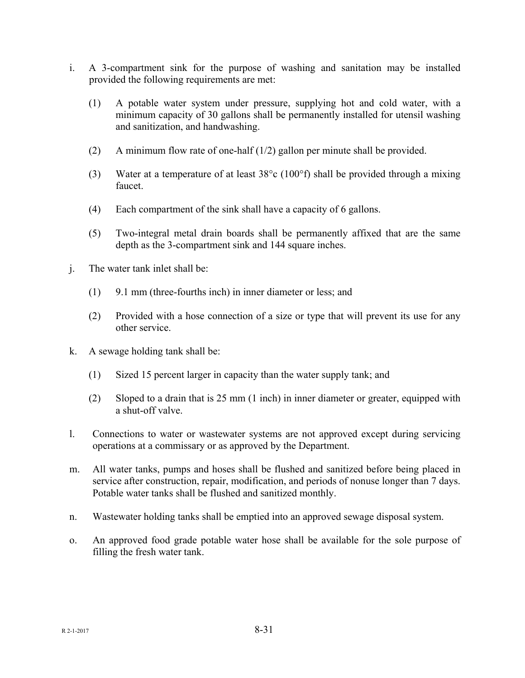- i. A 3-compartment sink for the purpose of washing and sanitation may be installed provided the following requirements are met:
	- (1) A potable water system under pressure, supplying hot and cold water, with a minimum capacity of 30 gallons shall be permanently installed for utensil washing and sanitization, and handwashing.
	- (2) A minimum flow rate of one-half (1/2) gallon per minute shall be provided.
	- (3) Water at a temperature of at least 38°c (100°f) shall be provided through a mixing faucet.
	- (4) Each compartment of the sink shall have a capacity of 6 gallons.
	- (5) Two-integral metal drain boards shall be permanently affixed that are the same depth as the 3-compartment sink and 144 square inches.
- j. The water tank inlet shall be:
	- (1) 9.1 mm (three-fourths inch) in inner diameter or less; and
	- (2) Provided with a hose connection of a size or type that will prevent its use for any other service.
- k. A sewage holding tank shall be:
	- (1) Sized 15 percent larger in capacity than the water supply tank; and
	- (2) Sloped to a drain that is 25 mm (1 inch) in inner diameter or greater, equipped with a shut-off valve.
- l. Connections to water or wastewater systems are not approved except during servicing operations at a commissary or as approved by the Department.
- m. All water tanks, pumps and hoses shall be flushed and sanitized before being placed in service after construction, repair, modification, and periods of nonuse longer than 7 days. Potable water tanks shall be flushed and sanitized monthly.
- n. Wastewater holding tanks shall be emptied into an approved sewage disposal system.
- o. An approved food grade potable water hose shall be available for the sole purpose of filling the fresh water tank.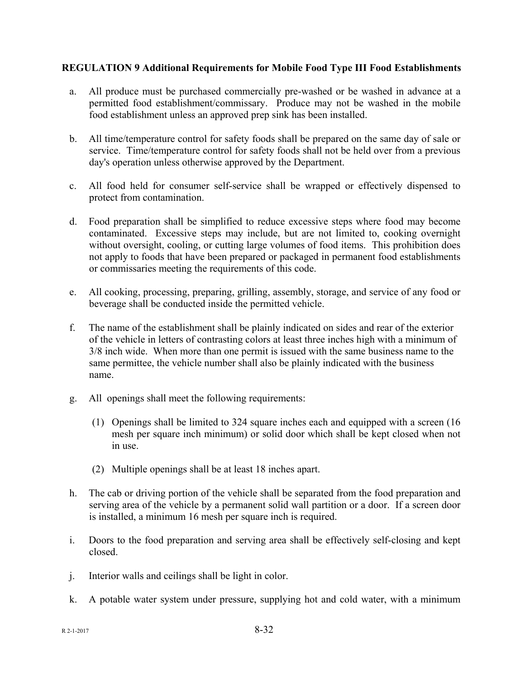## **REGULATION 9 Additional Requirements for Mobile Food Type III Food Establishments**

- a. All produce must be purchased commercially pre-washed or be washed in advance at a permitted food establishment/commissary. Produce may not be washed in the mobile food establishment unless an approved prep sink has been installed.
- b. All time/temperature control for safety foods shall be prepared on the same day of sale or service. Time/temperature control for safety foods shall not be held over from a previous day's operation unless otherwise approved by the Department.
- c. All food held for consumer self-service shall be wrapped or effectively dispensed to protect from contamination.
- d. Food preparation shall be simplified to reduce excessive steps where food may become contaminated. Excessive steps may include, but are not limited to, cooking overnight without oversight, cooling, or cutting large volumes of food items. This prohibition does not apply to foods that have been prepared or packaged in permanent food establishments or commissaries meeting the requirements of this code.
- e. All cooking, processing, preparing, grilling, assembly, storage, and service of any food or beverage shall be conducted inside the permitted vehicle.
- f. The name of the establishment shall be plainly indicated on sides and rear of the exterior of the vehicle in letters of contrasting colors at least three inches high with a minimum of 3/8 inch wide. When more than one permit is issued with the same business name to the same permittee, the vehicle number shall also be plainly indicated with the business name.
- g. All openings shall meet the following requirements:
	- (1) Openings shall be limited to 324 square inches each and equipped with a screen (16 mesh per square inch minimum) or solid door which shall be kept closed when not in use.
	- (2) Multiple openings shall be at least 18 inches apart.
- h. The cab or driving portion of the vehicle shall be separated from the food preparation and serving area of the vehicle by a permanent solid wall partition or a door. If a screen door is installed, a minimum 16 mesh per square inch is required.
- i. Doors to the food preparation and serving area shall be effectively self-closing and kept closed.
- j. Interior walls and ceilings shall be light in color.
- k. A potable water system under pressure, supplying hot and cold water, with a minimum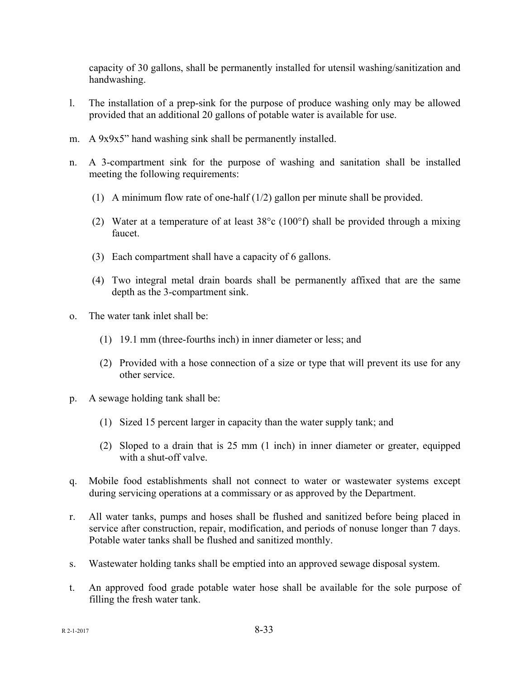capacity of 30 gallons, shall be permanently installed for utensil washing/sanitization and handwashing.

- l. The installation of a prep-sink for the purpose of produce washing only may be allowed provided that an additional 20 gallons of potable water is available for use.
- m. A 9x9x5" hand washing sink shall be permanently installed.
- n. A 3-compartment sink for the purpose of washing and sanitation shall be installed meeting the following requirements:
	- (1) A minimum flow rate of one-half (1/2) gallon per minute shall be provided.
	- (2) Water at a temperature of at least 38°c (100°f) shall be provided through a mixing faucet.
	- (3) Each compartment shall have a capacity of 6 gallons.
	- (4) Two integral metal drain boards shall be permanently affixed that are the same depth as the 3-compartment sink.
- o. The water tank inlet shall be:
	- (1) 19.1 mm (three-fourths inch) in inner diameter or less; and
	- (2) Provided with a hose connection of a size or type that will prevent its use for any other service.
- p. A sewage holding tank shall be:
	- (1) Sized 15 percent larger in capacity than the water supply tank; and
	- (2) Sloped to a drain that is 25 mm (1 inch) in inner diameter or greater, equipped with a shut-off valve.
- q. Mobile food establishments shall not connect to water or wastewater systems except during servicing operations at a commissary or as approved by the Department.
- r. All water tanks, pumps and hoses shall be flushed and sanitized before being placed in service after construction, repair, modification, and periods of nonuse longer than 7 days. Potable water tanks shall be flushed and sanitized monthly.
- s. Wastewater holding tanks shall be emptied into an approved sewage disposal system.
- t. An approved food grade potable water hose shall be available for the sole purpose of filling the fresh water tank.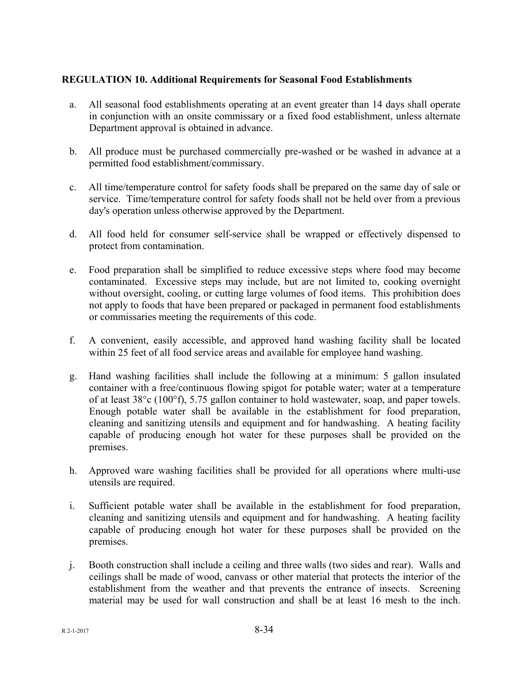## **REGULATION 10. Additional Requirements for Seasonal Food Establishments**

- a. All seasonal food establishments operating at an event greater than 14 days shall operate in conjunction with an onsite commissary or a fixed food establishment, unless alternate Department approval is obtained in advance.
- b. All produce must be purchased commercially pre-washed or be washed in advance at a permitted food establishment/commissary.
- c. All time/temperature control for safety foods shall be prepared on the same day of sale or service. Time/temperature control for safety foods shall not be held over from a previous day's operation unless otherwise approved by the Department.
- d. All food held for consumer self-service shall be wrapped or effectively dispensed to protect from contamination.
- e. Food preparation shall be simplified to reduce excessive steps where food may become contaminated. Excessive steps may include, but are not limited to, cooking overnight without oversight, cooling, or cutting large volumes of food items. This prohibition does not apply to foods that have been prepared or packaged in permanent food establishments or commissaries meeting the requirements of this code.
- f. A convenient, easily accessible, and approved hand washing facility shall be located within 25 feet of all food service areas and available for employee hand washing.
- g. Hand washing facilities shall include the following at a minimum: 5 gallon insulated container with a free/continuous flowing spigot for potable water; water at a temperature of at least  $38^{\circ}$  (100 $^{\circ}$ f), 5.75 gallon container to hold wastewater, soap, and paper towels. Enough potable water shall be available in the establishment for food preparation, cleaning and sanitizing utensils and equipment and for handwashing. A heating facility capable of producing enough hot water for these purposes shall be provided on the premises.
- h. Approved ware washing facilities shall be provided for all operations where multi-use utensils are required.
- i. Sufficient potable water shall be available in the establishment for food preparation, cleaning and sanitizing utensils and equipment and for handwashing. A heating facility capable of producing enough hot water for these purposes shall be provided on the premises.
- j. Booth construction shall include a ceiling and three walls (two sides and rear). Walls and ceilings shall be made of wood, canvass or other material that protects the interior of the establishment from the weather and that prevents the entrance of insects. Screening material may be used for wall construction and shall be at least 16 mesh to the inch.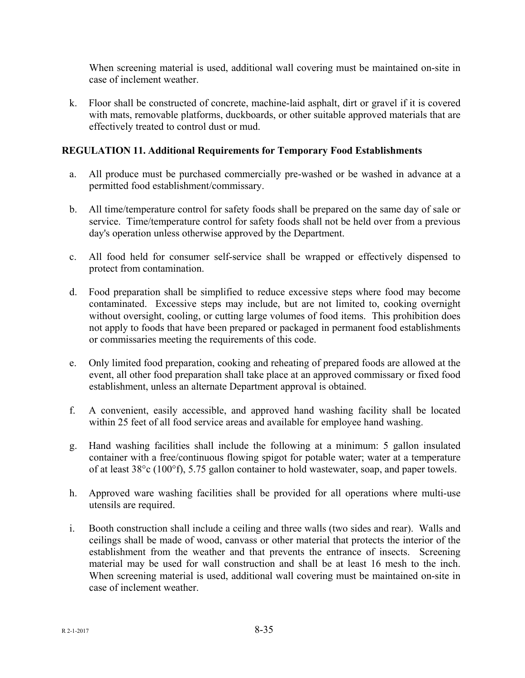When screening material is used, additional wall covering must be maintained on-site in case of inclement weather.

k. Floor shall be constructed of concrete, machine-laid asphalt, dirt or gravel if it is covered with mats, removable platforms, duckboards, or other suitable approved materials that are effectively treated to control dust or mud.

## **REGULATION 11. Additional Requirements for Temporary Food Establishments**

- a. All produce must be purchased commercially pre-washed or be washed in advance at a permitted food establishment/commissary.
- b. All time/temperature control for safety foods shall be prepared on the same day of sale or service. Time/temperature control for safety foods shall not be held over from a previous day's operation unless otherwise approved by the Department.
- c. All food held for consumer self-service shall be wrapped or effectively dispensed to protect from contamination.
- d. Food preparation shall be simplified to reduce excessive steps where food may become contaminated. Excessive steps may include, but are not limited to, cooking overnight without oversight, cooling, or cutting large volumes of food items. This prohibition does not apply to foods that have been prepared or packaged in permanent food establishments or commissaries meeting the requirements of this code.
- e. Only limited food preparation, cooking and reheating of prepared foods are allowed at the event, all other food preparation shall take place at an approved commissary or fixed food establishment, unless an alternate Department approval is obtained.
- f. A convenient, easily accessible, and approved hand washing facility shall be located within 25 feet of all food service areas and available for employee hand washing.
- g. Hand washing facilities shall include the following at a minimum: 5 gallon insulated container with a free/continuous flowing spigot for potable water; water at a temperature of at least 38°c (100°f), 5.75 gallon container to hold wastewater, soap, and paper towels.
- h. Approved ware washing facilities shall be provided for all operations where multi-use utensils are required.
- i. Booth construction shall include a ceiling and three walls (two sides and rear). Walls and ceilings shall be made of wood, canvass or other material that protects the interior of the establishment from the weather and that prevents the entrance of insects. Screening material may be used for wall construction and shall be at least 16 mesh to the inch. When screening material is used, additional wall covering must be maintained on-site in case of inclement weather.